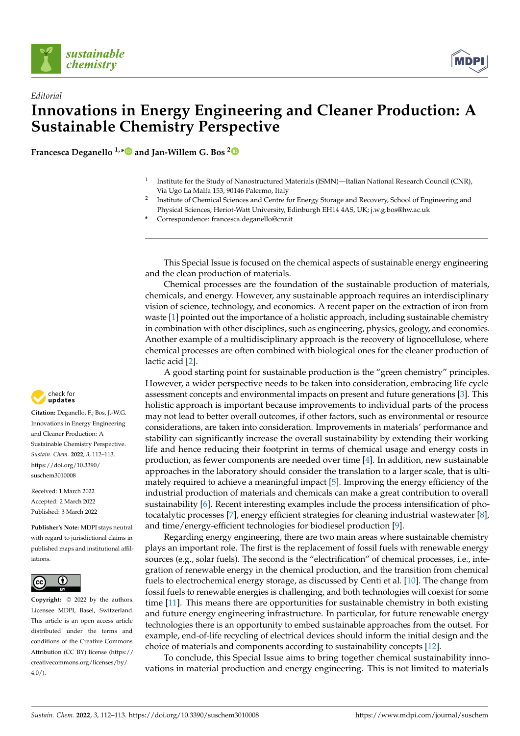

*Editorial*



## **Innovations in Energy Engineering and Cleaner Production: A Sustainable Chemistry Perspective**

**Francesca Deganello 1,[\\*](https://orcid.org/0000-0002-9194-9742) and Jan-Willem G. Bos [2](https://orcid.org/0000-0003-3947-2024)**

- 1 Institute for the Study of Nanostructured Materials (ISMN)—Italian National Research Council (CNR), Via Ugo La Malfa 153, 90146 Palermo, Italy
- 2 Institute of Chemical Sciences and Centre for Energy Storage and Recovery, School of Engineering and Physical Sciences, Heriot-Watt University, Edinburgh EH14 4AS, UK; j.w.g.bos@hw.ac.uk
- **\*** Correspondence: francesca.deganello@cnr.it

This Special Issue is focused on the chemical aspects of sustainable energy engineering and the clean production of materials.

Chemical processes are the foundation of the sustainable production of materials, chemicals, and energy. However, any sustainable approach requires an interdisciplinary vision of science, technology, and economics. A recent paper on the extraction of iron from waste [\[1\]](#page-1-0) pointed out the importance of a holistic approach, including sustainable chemistry in combination with other disciplines, such as engineering, physics, geology, and economics. Another example of a multidisciplinary approach is the recovery of lignocellulose, where chemical processes are often combined with biological ones for the cleaner production of lactic acid [\[2\]](#page-1-1).

A good starting point for sustainable production is the "green chemistry" principles. However, a wider perspective needs to be taken into consideration, embracing life cycle assessment concepts and environmental impacts on present and future generations [\[3\]](#page-1-2). This holistic approach is important because improvements to individual parts of the process may not lead to better overall outcomes, if other factors, such as environmental or resource considerations, are taken into consideration. Improvements in materials' performance and stability can significantly increase the overall sustainability by extending their working life and hence reducing their footprint in terms of chemical usage and energy costs in production, as fewer components are needed over time [\[4\]](#page-1-3). In addition, new sustainable approaches in the laboratory should consider the translation to a larger scale, that is ultimately required to achieve a meaningful impact [\[5\]](#page-1-4). Improving the energy efficiency of the industrial production of materials and chemicals can make a great contribution to overall sustainability [\[6\]](#page-1-5). Recent interesting examples include the process intensification of photocatalytic processes [\[7\]](#page-1-6), energy efficient strategies for cleaning industrial wastewater [\[8\]](#page-1-7), and time/energy-efficient technologies for biodiesel production [\[9\]](#page-1-8).

Regarding energy engineering, there are two main areas where sustainable chemistry plays an important role. The first is the replacement of fossil fuels with renewable energy sources (e.g., solar fuels). The second is the "electrification" of chemical processes, i.e., integration of renewable energy in the chemical production, and the transition from chemical fuels to electrochemical energy storage, as discussed by Centi et al. [\[10\]](#page-1-9). The change from fossil fuels to renewable energies is challenging, and both technologies will coexist for some time [\[11\]](#page-1-10). This means there are opportunities for sustainable chemistry in both existing and future energy engineering infrastructure. In particular, for future renewable energy technologies there is an opportunity to embed sustainable approaches from the outset. For example, end-of-life recycling of electrical devices should inform the initial design and the choice of materials and components according to sustainability concepts [\[12\]](#page-1-11).

To conclude, this Special Issue aims to bring together chemical sustainability innovations in material production and energy engineering. This is not limited to materials



**Citation:** Deganello, F.; Bos, J.-W.G. Innovations in Energy Engineering and Cleaner Production: A Sustainable Chemistry Perspective. *Sustain. Chem.* **2022**, *3*, 112–113. [https://doi.org/10.3390/](https://doi.org/10.3390/suschem3010008) [suschem3010008](https://doi.org/10.3390/suschem3010008)

Received: 1 March 2022 Accepted: 2 March 2022 Published: 3 March 2022

**Publisher's Note:** MDPI stays neutral with regard to jurisdictional claims in published maps and institutional affiliations.



**Copyright:** © 2022 by the authors. Licensee MDPI, Basel, Switzerland. This article is an open access article distributed under the terms and conditions of the Creative Commons Attribution (CC BY) license [\(https://](https://creativecommons.org/licenses/by/4.0/) [creativecommons.org/licenses/by/](https://creativecommons.org/licenses/by/4.0/)  $4.0/$ ).